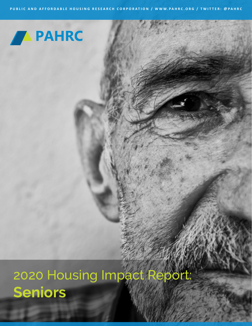

2020 Housing Impact Report: **Seniors**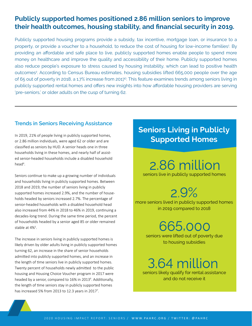## **Publicly supported homes positioned 2.86 million seniors to improve their health outcomes, housing stability, and financial security in 2019.**

Publicly supported housing programs provide a subsidy, tax incentive, mortgage loan, or insurance to a property, or provide a voucher to a household, to reduce the cost of housing for low-income families<sup>1</sup>. By providing an affordable and safe place to live, publicly supported homes enable people to spend more money on healthcare and improve the quality and accessibility of their home. Publicly supported homes also reduce people's exposure to stress caused by housing instability, which can lead to positive health outcomes<sup>2</sup>. According to Census Bureau estimates, housing subsidies lifted 665,000 people over the age of 65 out of poverty in 2018, a 1.7% increase from 20173 . This feature examines trends among seniors living in publicly supported rental homes and offers new insights into how affordable housing providers are serving 'pre-seniors,' or older adults on the cusp of turning 62.

### **Trends in Seniors Receiving Assistance**

In 2019, 21% of people living in publicly supported homes, or 2.86 million individuals, were aged 62 or older and are classified as seniors by HUD. A senior heads one in three households living in these homes, and nearly half of assisted senior-headed households include a disabled household head<sup>4</sup>.

Seniors continue to make up a growing number of individuals and households living in publicly supported homes. Between 2018 and 2019, the number of seniors living in publicly supported homes increased 2.9%, and the number of households headed by seniors increased 2.7%. The percentage of senior-headed households with a disabled household head also increased from 44% in 2018 to 46% in 2019, continuing a decades-long trend. During the same time period, the percent of households headed by a senior aged 85 or older remained stable at 4%<sup>5</sup>.

The increase in seniors living in publicly supported homes is likely driven by older adults living in publicly supported homes turning 62, an increase in the share of senior households admitted into publicly supported homes, and an increase in the length of time seniors live in publicly supported homes. Twenty percent of households newly admitted to the public housing and Housing Choice Voucher program in 2017 were headed by a senior, compared to 16% in 2013<sup>6</sup>. Additionally, the length of time seniors stay in publicly supported homes has increased 5% from 2013 to 12.3 years in 2017<sup>7</sup>.

# **Seniors Living in Publicly Supported Homes**

2.86 million

seniors live in publicly supported homes

 $2.9%$ 

more seniors lived in publicly supported homes in 2019 compared to 2018

665,000

seniors were lifted out of poverty due to housing subsidies

3.64 million seniors likely qualify for rental assistance

and do not receive it

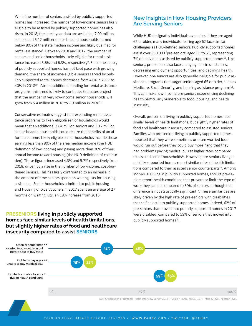While the number of seniors assisted by publicly supported homes has increased, the number of low-income seniors likely eligible to be assisted by publicly supported homes has also risen. In 2018, the latest year data are available, 7.09 million seniors and 6.12 million senior-headed households earned below 80% of the state median income and likely qualified for rental assistance<sup>8</sup>. Between 2018 and 2017, the number of seniors and senior households likely eligible for rental assistance increased 5.6% and 6.3%, respectively<sup>9</sup>. Since the supply of publicly supported homes has not kept pace with growing demand, the share of income-eligible seniors served by publicly supported rental homes decreased from 41% in 2017 to 40% in 2018<sup>10</sup>. Absent additional funding for rental assistance programs, this trend is likely to continue: Estimates project that the number of very low-income senior households will grow from 5.4 million in 2018 to 7.9 million in 2038 $^{11}$ .

Conservative estimates suggest that expanding rental assistance programs to likely eligible senior households would mean that an additional 3.64 million seniors and 3.12 million senior-headed households could realize the benefits of an affordable home. Likely eligible senior households include those earning less than 80% of the area median income (the HUD definition of low income) and paying more than 30% of their annual income toward housing (the HUD definition of cost burden). These figures increased 4.3% and 5.7% respectively from 2018, driven by a rise in the number of low-income, cost-burdened seniors. This has likely contributed to an increase in the amount of time seniors spend on waiting lists for housing assistance. Senior households admitted to public housing and Housing Choice Vouchers in 2017 spent an average of 27 months on waiting lists, an 18% increase from 2016.

#### **PRESENIORS living in publicly supported homes face similar levels of health limitations, but slightly higher rates of food and healthcare insecurity compared to assist SENIORS**

#### **New Insights in How Housing Providers Are Serving Seniors**

While HUD designates individuals as seniors if they are aged 62 or older, many individuals nearing age 62 face similar challenges as HUD-defined seniors. Publicly supported homes assist over 950,000 'pre-seniors' aged 55 to 61, representing 7% of individuals assisted by publicly supported homes<sup>12</sup>. Like seniors, pre-seniors also face changing life circumstances, decreasing employment opportunities, and declining health. However, pre-seniors are also generally ineligible for public assistance programs that target seniors aged 65 or older, such as Medicare, Social Security, and housing assistance programs<sup>13</sup>. This can make low-income pre-seniors experiencing declining health particularly vulnerable to food, housing, and health insecurity.

Overall, pre-seniors living in publicly supported homes face similar levels of health limitations, but slightly higher rates of food and healthcare insecurity compared to assisted seniors. Families with pre-seniors living in publicly supported homes reported that they were sometimes or often worried food would run out before they could buy more $14$  and that they had problems paying medical bills at higher rates compared to assisted senior households<sup>15</sup>. However, pre-seniors living in publicly supported homes report similar rates of health limitations compared to their assisted senior counterparts<sup>16</sup>. Among individuals living in publicly supported homes, 65% of pre-seniors report health conditions that prevent or limit the type of work they can do compared to 59% of seniors, although this difference is not statistically significant<sup>17</sup>. These similarities are likely driven by the high rate of pre-seniors with disabilities that self-select into publicly supported homes. Indeed, 62% of pre-seniors that moved into publicly supported homes in 2017 were disabled, compared to 59% of seniors that moved into publicly supported homes<sup>18</sup>.



PAHRC tabulation of National Health Interview Survey 2018 (P value = .0001, .0358, .157). \*family level. \*person level.